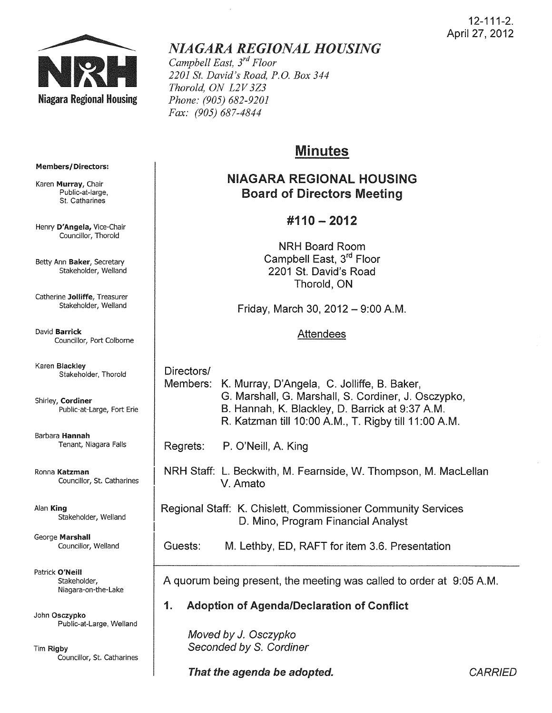

# *NIAGARA REGIONAL HOUSING*

*Campbell East, 3rd Floor 2201 St. David's Road, P.o. Box 344 Thorold, ON L2V 3Z3 Phone: (905) 682-9201 Fax: (905) 687-4844* 

# Minutes

## NIAGARA REGIONAL HOUSING Board of Directors Meeting

## #110 - 2012

**NRH Board Room** Campbell East, 3rd Floor 2201 St. David's Road Thorold, ON

Friday, March 30, 2012  $-$  9:00 A.M.

## Attendees

Directors/ Members: K. Murray, D'Angela, C. Jolliffe, B. Baker, G. Marshall, G. Marshall, S. Cordiner, J. Osczypko, B. Hannah, K. Blackley, D. Barrick at 9:37 AM. R. Katzman till 10:00 AM., T. Rigby till 11 :00 AM.

Regrets: P. O'Neill, A. King

NRH Staff: L. Beckwith, M. Fearnside, W. Thompson, M. Maclellan V. Amato

Regional Staff: K. Chislett, Commissioner Community Services D. Mino, Program Financial Analyst

Guests: M. lethby, ED, RAFT for item 3.6. Presentation

A quorum being present, the meeting was called to order at 9:05 AM.

1. Adoption of Agenda/Declaration of Conflict

Moved by J. Osczypko Seconded by S. Cordiner

That the agenda be adopted. That the agenda be adopted.

#### Members/ Directors:

Karen Murray, Chair Public-at-Iarge, St. Catharines

Henry D'Angela, Vice-Chair Councillor, Thorold

Betty Ann Baker, Secretary Stakeholder, Weiland

Catherine Jolliffe, Treasurer Stakeholder, Weiland

David Barrick Councillor, Port Colborne

Karen Blackley Stakeholder, Thorold

Shirley, Cordiner Public-at-Large, Fort Erie

Barbara Hannah Tenant, Niagara Falls

Ronna Katzman Councillor, St. Catharines

Alan King Stakeholder, Weiland

George Marshall Councillor, Weiland

Patrick O'Neill Stakeholder, Niagara-on-the-Lake

John Osczypko Public-at-Large, Weiland

Tim Rigby Councillor, St. Catharines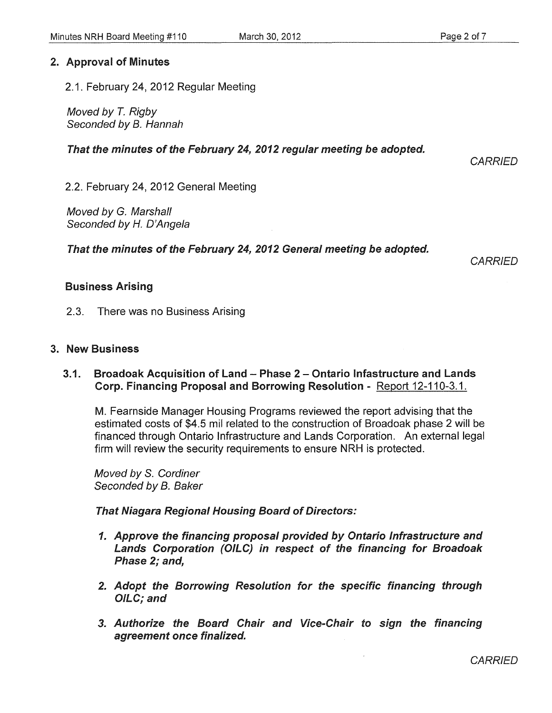## 2. Approval of Minutes

2.1. February 24, 2012 Regular Meeting

Moved by T. Rigby Seconded by B. Hannah

## That the minutes of the February 24, 2012 regular meeting be adopted.

**CARRIED** 

2.2. February 24, 2012 General Meeting

Moved by G. Marshall Seconded by H. D'Angela

That the minutes of the February 24, 2012 General meeting be adopted.

**CARRIED** 

## Business Arising

2.3. There was no Business Arising

## 3. New Business

#### 3.1. Broadoak Acquisition of Land - Phase 2 - Ontario Infastructure and Lands Corp. Financing Proposal and Borrowing Resolution - Report 12-110-3.1.

M. Fearnside Manager Housing Programs reviewed the report advising that the estimated costs of \$4.5 mil related to the construction of Broadoak phase 2 will be financed through Ontario Infrastructure and Lands Corporation. An external legal firm will review the security requirements to ensure NRH is protected.

Moved by S. Cordiner Seconded by B. Baker

That Niagara Regional Housing Board of Directors:

- 1. Approve the financing proposal provided by Ontario Infrastructure and Lands Corporation (OILC) in respect of the financing for Broadoak Phase 2; and,
- 2. Adopt the Borrowing Resolution for the specific financing through OILC; and
- 3. Authorize the Board Chair and Vice-Chair to sign the financing agreement once finalized.

**CARRIED**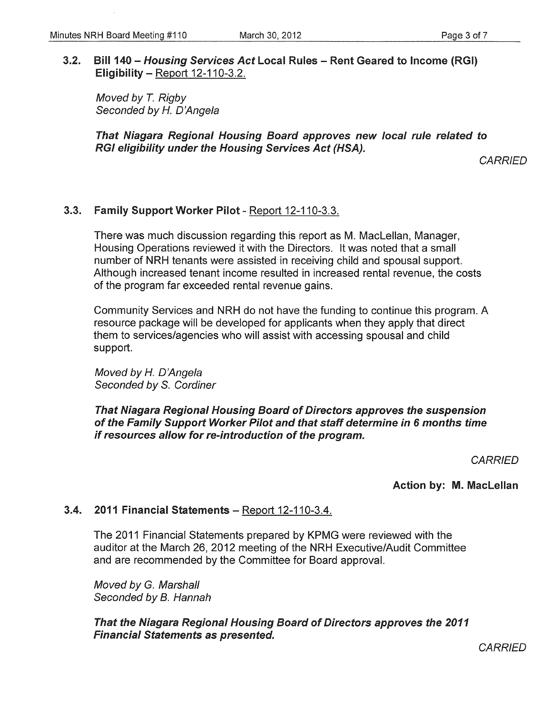## 3.2. Bill 140 - Housing Services Act Local Rules - Rent Geared to Income (RGI) Eligibility  $-$  Report 12-110-3.2.

Moved by *T.* Rigby Seconded by H. D'Angela

That Niagara Regional Housing Board approves new local rule related to RGI eligibility under the Housing Services Act (HSA).

**CARRIED** 

## 3.3. Family Support Worker Pilot - Report 12-110-3.3.

There was much discussion regarding this report as M. Maclellan, Manager, Housing Operations reviewed it with the Directors. It was noted that a small number of NRH tenants were assisted in receiving child and spousal support. Although increased tenant income resulted in increased rental revenue, the costs of the program far exceeded rental revenue gains.

Community Services and NRH do not have the funding to continue this program. A resource package will be developed for applicants when they apply that direct them to services/agencies who will assist with accessing spousal and child support.

Moved by H. O'Angela Seconded by S. Cordiner

That Niagara Regional Housing Board of Directors approves the suspension of the Family Support Worker Pilot and that staff determine in 6 months time if resources allow for re-introduction of the program.

**CARRIED** 

Action by: M. Maclellan

## 3.4. 2011 Financial Statements - Report 12-110-3.4.

The 2011 Financial Statements prepared by KPMG were reviewed with the auditor at the March 26, 2012 meeting of the NRH Executive/Audit Committee and are recommended by the Committee for Board approval.

Moved by G. Marshall Seconded by B. Hannah

That the Niagara Regional Housing Board of Directors approves the 2011 Financial Statements as presented.

**CARRIED**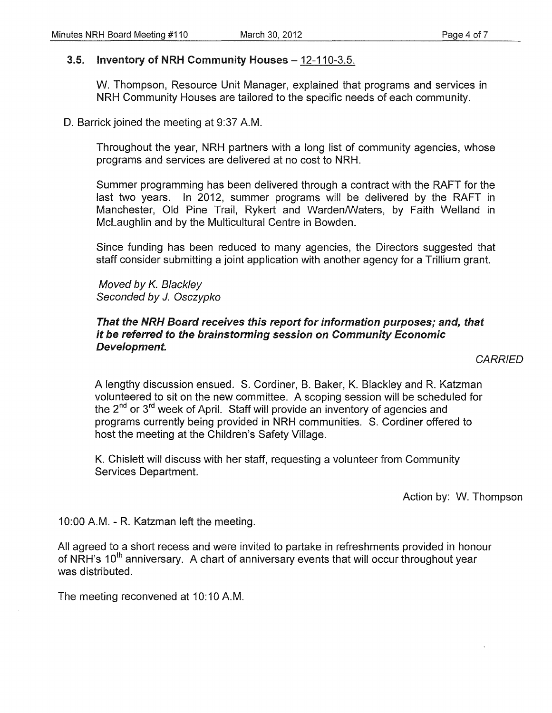#### 3.5. Inventory of NRH Community Houses - 12-110-3.5.

W. Thompson, Resource Unit Manager, explained that programs and services in NRH Community Houses are tailored to the specific needs of each community.

D. Barrick joined the meeting at 9:37 A.M.

Throughout the year, NRH partners with a long list of community agencies, whose programs and services are delivered at no cost to NRH.

Summer programming has been delivered through a contract with the RAFT for the last two years. In 2012, summer programs will be delivered by the RAFT in Manchester, Old Pine Trail, Rykert and Warden/Waters, by Faith Welland in McLaughlin and by the Multicultural Centre in Bowden.

Since funding has been reduced to many agencies, the Directors suggested that staff consider submitting a joint application with another agency for a Trillium grant.

Moved by K. Blackley Seconded by J. Osczypko

#### That the NRH Board receives this report for information purposes; and, that it be referred to the brainstorming session on Community Economic Development.

#### **CARRIED**

A lengthy discussion ensued. S. Cardiner, B. Baker, K. Blackley and R. Katzman volunteered to sit on the new committee. A scoping session will be scheduled for the  $2^{nd}$  or  $3^{rd}$  week of April. Staff will provide an inventory of agencies and programs currently being provided in NRH communities. S. Cordiner offered to host the meeting at the Children's Safety Village.

K. Chislett will discuss with her staff, requesting a volunteer from Community Services Department.

Action by: W. Thompson

10:00 AM. - R. Katzman left the meeting.

All agreed to a short recess and were invited to partake in refreshments provided in honour of NRH's 10<sup>th</sup> anniversary. A chart of anniversary events that will occur throughout year was distributed.

The meeting reconvened at 10:10 A.M.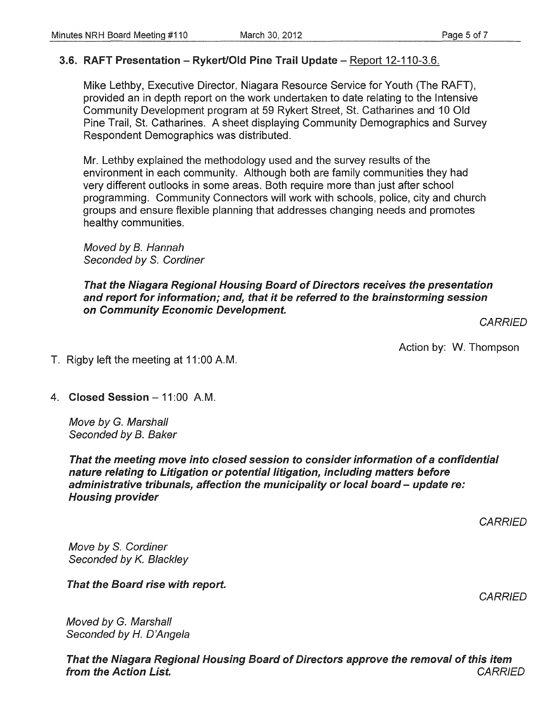## 3.6. RAFT Presentation - Rykert/Old Pine Trail Update - Report 12-110-3.6.

Mike Lethby, Executive Director, Niagara Resource Service for Youth (The RAFT), provided an in depth report on the work undertaken to date relating to the Intensive Community Development program at 59 Rykert Street, St. Catharines and 10 Old Pine Trail, St. Catharines. A sheet displaying Community Demographics and Survey Respondent Demographics was distributed.

Mr. Lethby explained the methodology used and the survey results of the environment in each community. Although both are family communities they had very different outlooks in some areas. Both require more than just after school programming. Community Connectors will work with schools, police, city and church groups and ensure flexible planning that addresses changing needs and promotes healthy communities.

Moved by B. Hannah Seconded by S. Cordiner

## That the Niagara Regional Housing Board of Directors receives the presentation and report for information; and, that it be referred to the brainstorming session on Community Economic Development.

**CARRIED** 

Action by: W. Thompson

- T. Rigby left the meeting at 11 :00 A.M.
- 4. Closed Session  $-11:00$  A.M.

Move by G. Marshall Seconded by B. Baker

That the meeting move into closed session to consider information of a confidential nature relating to Litigation or potential litigation, including matters before administrative tribunals, affection the municipality or local board - update re: Housing provider

**CARRIED** 

Move by S. Cordiner Seconded by K. Blackley

That the Board rise with report.

**CARRIED** 

Moved by G. Marshall Seconded by *H.* D'Angela

That the Niagara Regional Housing Board of Directors approve the removal of this item from the Action List. The contraction of the Action List.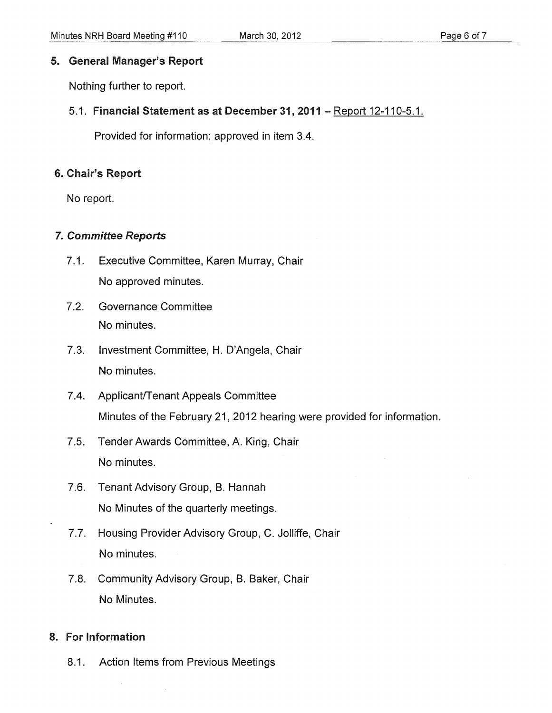## 5. General Manager's Report

Nothing further to report.

## 5.1. Financial Statement as at December 31, 2011 - Report 12-110-5.1.

Provided for information; approved in item 3.4.

## 6. Chair'S Report

No report.

## 7. Committee Reports

- 7.1. Executive Committee, Karen Murray, Chair No approved minutes.
- 7.2. Governance Committee No minutes.
- 7.3. Investment Committee, H. O'Angela, Chair No minutes.
- 7.4. Applicant/Tenant Appeals Committee Minutes of the February 21, 2012 hearing were provided for information.
- 7.5. Tender Awards Committee, A. King, Chair No minutes.
- 7.6. Tenant Advisory Group, B. Hannah No Minutes of the quarterly meetings.
- 7.7. Housing Provider Advisory Group, C. Jolliffe, Chair No minutes.
- 7.8. Community Advisory Group, B. Baker, Chair No Minutes.

## 8. For information

8.1. Action Items from Previous Meetings